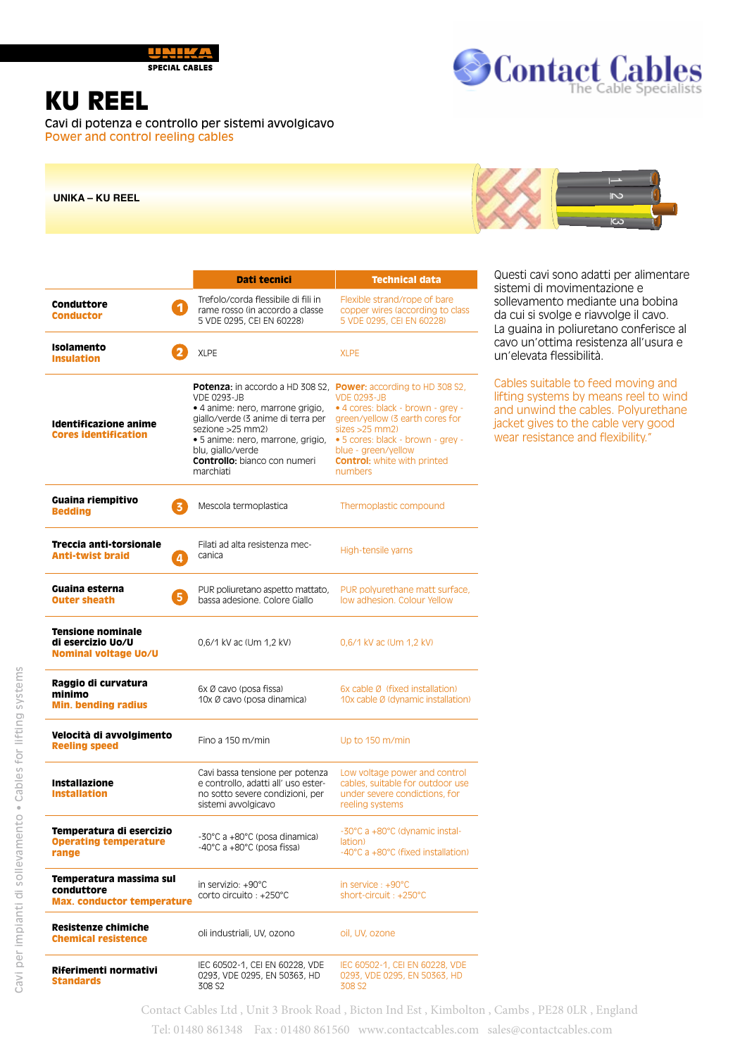

**SPECIAL CABLES** 

## Contact Cables

## KU REEL

Cavi di potenza e controllo per sistemi avvolgicavo Power and control reeling cables

**UNIKA – KU REEL**



|                                                                              | Dati tecnici                                                                                                                                                                                                                                                                                       | <b>Technical data</b>                                                                                                                                                                                                     |  |  |
|------------------------------------------------------------------------------|----------------------------------------------------------------------------------------------------------------------------------------------------------------------------------------------------------------------------------------------------------------------------------------------------|---------------------------------------------------------------------------------------------------------------------------------------------------------------------------------------------------------------------------|--|--|
| Conduttore<br>$\blacktriangleleft$<br><b>Conductor</b>                       | Trefolo/corda flessibile di fili in<br>rame rosso (in accordo a classe<br>5 VDE 0295, CEI EN 60228)                                                                                                                                                                                                | Flexible strand/rope of bare<br>copper wires (according to class<br>5 VDE 0295, CEI EN 60228)                                                                                                                             |  |  |
| <b>Isolamento</b><br><b>Insulation</b>                                       | <b>XLPE</b>                                                                                                                                                                                                                                                                                        | <b>XLPE</b>                                                                                                                                                                                                               |  |  |
| Identificazione anime<br><b>Cores identification</b>                         | Potenza: in accordo a HD 308 S2, Power: according to HD 308 S2,<br><b>VDE 0293-JB</b><br>· 4 anime: nero, marrone grigio,<br>giallo/verde (3 anime di terra per<br>sezione > 25 mm2)<br>· 5 anime: nero, marrone, grigio,<br>blu, giallo/verde<br><b>Controllo:</b> bianco con numeri<br>marchiati | <b>VDE 0293-JB</b><br>• 4 cores: black - brown - grey -<br>green/yellow (3 earth cores for<br>sizes > 25 mm2<br>• 5 cores: black - brown - grey -<br>blue - green/yellow<br><b>Control:</b> white with printed<br>numbers |  |  |
| Guaina riempitivo<br>3<br><b>Bedding</b>                                     | Mescola termoplastica                                                                                                                                                                                                                                                                              | Thermoplastic compound                                                                                                                                                                                                    |  |  |
| Treccia anti-torsionale<br><b>Anti-twist braid</b><br>4                      | Filati ad alta resistenza mec-<br>canica                                                                                                                                                                                                                                                           | High-tensile yarns                                                                                                                                                                                                        |  |  |
| Guaina esterna<br>5<br><b>Outer sheath</b>                                   | PUR poliuretano aspetto mattato,<br>bassa adesione. Colore Giallo                                                                                                                                                                                                                                  | PUR polyurethane matt surface,<br>low adhesion. Colour Yellow                                                                                                                                                             |  |  |
| <b>Tensione nominale</b><br>di esercizio Uo/U<br><b>Nominal voltage Uo/U</b> | 0,6/1 kV ac (Um 1,2 kV)                                                                                                                                                                                                                                                                            | 0,6/1 kV ac (Um 1,2 kV)                                                                                                                                                                                                   |  |  |
| Raggio di curvatura<br>minimo<br><b>Min. bending radius</b>                  | 6x Ø cavo (posa fissa)<br>10x Ø cavo (posa dinamica)                                                                                                                                                                                                                                               | 6x cable Ø (fixed installation)<br>10x cable Ø (dynamic installation)                                                                                                                                                     |  |  |
| Velocità di avvolgimento<br><b>Reeling speed</b>                             | Fino a $150 \text{ m/min}$                                                                                                                                                                                                                                                                         | Up to 150 m/min                                                                                                                                                                                                           |  |  |
| <b>Installazione</b><br><b>Installation</b>                                  | Cavi bassa tensione per potenza<br>e controllo, adatti all'uso ester-<br>no sotto severe condizioni, per<br>sistemi avvolgicavo                                                                                                                                                                    | Low voltage power and control<br>cables, suitable for outdoor use<br>under severe condictions, for<br>reeling systems                                                                                                     |  |  |
| Temperatura di esercizio<br><b>Operating temperature</b><br>range            | -30°C a +80°C (posa dinamica)<br>-40°C a +80°C (posa fissa)                                                                                                                                                                                                                                        | -30°C a +80°C (dynamic instal-<br>lation)<br>-40°C a +80°C (fixed installation)                                                                                                                                           |  |  |
| Temperatura massima sul<br>conduttore<br><b>Max. conductor temperature</b>   | in servizio: +90°C<br>corto circuito : +250°C                                                                                                                                                                                                                                                      | in service : +90°C<br>short-circuit: +250°C                                                                                                                                                                               |  |  |
| Resistenze chimiche<br><b>Chemical resistence</b>                            | oli industriali, UV, ozono                                                                                                                                                                                                                                                                         | oil. UV. ozone                                                                                                                                                                                                            |  |  |

IEC 60502-1, CEI EN 60228, VDE 0293, VDE 0295, EN 50363, HD 308 S2

Questi cavi sono adatti per alimentare sistemi di movimentazione e sollevamento mediante una bobina da cui si svolge e riavvolge il cavo. La guaina in poliuretano conferisce al cavo un'ottima resistenza all'usura e un'elevata flessibilità.

Cables suitable to feed moving and lifting systems by means reel to wind and unwind the cables. Polyurethane jacket gives to the cable very good wear resistance and flexibility."

Contact Cables Ltd , Unit 3 Brook Road , Bicton Ind Est , Kimbolton , Cambs , PE28 0LR , England Tel: 01480 861348 Fax : 01480 861560 www.contactcables.com sales@contactcables.com